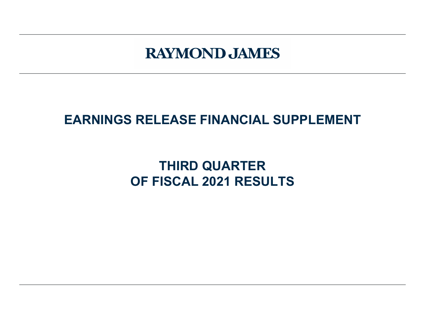# **RAYMOND JAMES**

## **EARNINGS RELEASE FINANCIAL SUPPLEMENT**

## **THIRD QUARTER OF FISCAL 2021 RESULTS**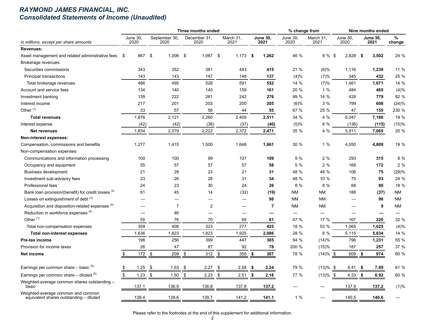#### *RAYMOND JAMES FINANCIAL, INC. Consolidated Statements of Income (Unaudited)*

|                                                                               |                         |                       | Three months ended   | % change from            |                         |                  | Nine months ended                 |                         |                  |             |
|-------------------------------------------------------------------------------|-------------------------|-----------------------|----------------------|--------------------------|-------------------------|------------------|-----------------------------------|-------------------------|------------------|-------------|
| in millions, except per share amounts                                         | <b>June 30.</b><br>2020 | September 30,<br>2020 | December 31,<br>2020 | March 31,<br>2021        | <b>June 30,</b><br>2021 | June 30.<br>2020 | March 31,<br>2021                 | <b>June 30,</b><br>2020 | June 30.<br>2021 | %<br>change |
| <b>Revenues:</b>                                                              |                         |                       |                      |                          |                         |                  |                                   |                         |                  |             |
| Asset management and related administrative fees \$                           | 867                     | \$<br>$1,006$ \$      | $1,067$ \$           | $1,173$ \$               | 1,262                   | 46 %             | 8 % \$                            | 2,828                   | 3,502<br>-\$     | 24 %        |
| Brokerage revenues:                                                           |                         |                       |                      |                          |                         |                  |                                   |                         |                  |             |
| Securities commissions                                                        | 343                     | 352                   | 381                  | 443                      | 415                     | 21 %             | $(6)$ %                           | 1,116                   | 1,239            | 11 %        |
| Principal transactions                                                        | 143                     | 143                   | 147                  | 148                      | 137                     | (4)%             | (7)%                              | 345                     | 432              | 25 %        |
| Total brokerage revenues                                                      | 486                     | 495                   | 528                  | 591                      | 552                     | 14 %             | (7)%                              | 1,461                   | 1,671            | 14 %        |
| Account and service fees                                                      | 134                     | 140                   | 145                  | 159                      | 161                     | 20 %             | 1%                                | 484                     | 465              | (4)%        |
| Investment banking                                                            | 139                     | 222                   | 261                  | 242                      | 276                     | 99 %             | 14 %                              | 428                     | 779              | 82 %        |
| Interest income                                                               | 217                     | 201                   | 203                  | 200                      | 205                     | $(6)$ %          | 3%                                | 799                     | 608              | (24)%       |
| Other <sup>(1)</sup>                                                          | 33                      | 57                    | 56                   | 44                       | 55                      | 67 %             | 25 %                              | 47                      | 155              | 230 %       |
| <b>Total revenues</b>                                                         | 1,876                   | 2,121                 | 2,260                | 2,409                    | 2,511                   | 34 %             | 4%                                | 6,047                   | 7,180            | 19 %        |
| Interest expense                                                              | (42)                    | (42)                  | (38)                 | (37)                     | (40)                    | (5)%             | 8 %                               | (136)                   | (115)            | (15)%       |
| <b>Net revenues</b>                                                           | 1,834                   | 2,079                 | 2,222                | 2,372                    | 2,471                   | 35 %             | 4 %                               | 5,911                   | 7,065            | 20 %        |
| Non-interest expenses:                                                        |                         |                       |                      |                          |                         |                  |                                   |                         |                  |             |
| Compensation, commissions and benefits                                        | 1,277                   | 1,415                 | 1,500                | 1,648                    | 1.661                   | 30 %             | 1%                                | 4,050                   | 4.809            | 19 %        |
| Non-compensation expenses:                                                    |                         |                       |                      |                          |                         |                  |                                   |                         |                  |             |
| Communications and information processing                                     | 100                     | 100                   | 99                   | 107                      | 109                     | 9 %              | 2%                                | 293                     | 315              | 8 %         |
| Occupancy and equipment                                                       | 55                      | 57                    | 57                   | 57                       | 58                      | 5 %              | 2%                                | 168                     | 172              | 2 %         |
| <b>Business development</b>                                                   | 21                      | 28                    | 23                   | 21                       | 31                      | 48 %             | 48 %                              | 106                     | 75               | (29)%       |
| Investment sub-advisory fees                                                  | 23                      | 26                    | 28                   | 31                       | 34                      | 48 %             | 10 %                              | 75                      | 93               | 24 %        |
| Professional fees                                                             | 24                      | 23                    | 30                   | 24                       | 26                      | 8%               | 8 %                               | 68                      | 80               | 18 %        |
| Bank loan provision/(benefit) for credit losses <sup>(2)</sup>                | 81                      | 45                    | 14                   | (32)                     | (19)                    | <b>NM</b>        | <b>NM</b>                         | 188                     | (37)             | <b>NM</b>   |
| Losses on extinguishment of debt <sup>(3)</sup>                               |                         |                       |                      |                          | 98                      | <b>NM</b>        | <b>NM</b>                         |                         | 98               | NM          |
| Acquisition and disposition-related expenses (4)                              |                         | $\overline{7}$        | $\overline{2}$       |                          | $\overline{7}$          | <b>NM</b>        | <b>NM</b>                         |                         | 9                | <b>NM</b>   |
| Reduction in workforce expenses (5)                                           |                         | 46                    |                      | $\overline{\phantom{0}}$ |                         |                  | $\overbrace{\phantom{123221111}}$ |                         |                  |             |
| Other $(1)$                                                                   | 55                      | 76                    | 70                   | 69                       | 81                      | 47 %             | 17 %                              | 167                     | 220              | 32 %        |
| Total non-compensation expenses                                               | 359                     | 408                   | 323                  | 277                      | 425                     | 18 %             | 53 %                              | 1,065                   | 1,025            | (4)%        |
| <b>Total non-interest expenses</b>                                            | 1,636                   | 1,823                 | 1,823                | 1,925                    | 2,086                   | 28 %             | 8 %                               | 5,115                   | 5,834            | 14 %        |
| Pre-tax income                                                                | 198                     | 256                   | 399                  | 447                      | 385                     | 94 %             | (14)%                             | 796                     | 1,231            | 55 %        |
| Provision for income taxes                                                    | 26                      | 47                    | 87                   | 92                       | 78                      | 200 %            | (15)%                             | 187                     | 257              | 37 %        |
| Net income                                                                    | \$<br>172               | \$<br>209             | \$<br>312            | \$<br>355                | \$<br>307               | 78 %             | $(14)%$ \$                        | 609                     | \$<br>974        | 60 %        |
| Earnings per common share – basic (6)                                         | 1.25<br>$\frac{1}{2}$   | 1.53<br>-\$           | -\$<br>2.27          | \$<br>2.58               | -\$<br>2.24             | 79 %             | $(13)\%$ \$                       | 4.41                    | \$<br>7.09       | 61 %        |
| Earnings per common share $-$ diluted $(6)$                                   | \$<br>1.23              | \$<br>1.50            | \$<br>2.23           | \$<br>2.51               | \$<br>2.18              | 77 %             | $(13)\%$ \$                       | 4.33                    | \$<br>6.92       | 60 %        |
| Weighted-average common shares outstanding -<br>basic                         | 137.1                   | 136.9                 | 136.8                | 137.8                    | 137.2                   |                  |                                   | 137.9                   | 137.2            | (1)%        |
| Weighted-average common and common<br>equivalent shares outstanding - diluted | 139.4                   | 139.6                 | 139.7                | 141.2                    | 141.1                   | 1%               |                                   | 140.5                   | 140.6            |             |

Please refer to the footnotes at the end of this supplement for additional information.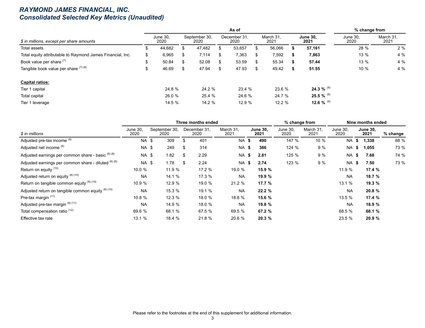#### *RAYMOND JAMES FINANCIAL, INC. Consolidated Selected Key Metrics (Unaudited)*

|                                                            |   |                  |     |                       | As of                |    |                   |                         | % change from    |                   |
|------------------------------------------------------------|---|------------------|-----|-----------------------|----------------------|----|-------------------|-------------------------|------------------|-------------------|
| \$ in millions, except per share amounts                   |   | June 30,<br>2020 |     | September 30,<br>2020 | December 31.<br>2020 |    | March 31.<br>2021 | <b>June 30,</b><br>2021 | June 30,<br>2020 | March 31.<br>2021 |
| Total assets                                               | ъ | 44,682           | \$. | 47,482                | 53,657               |    | 56,066            | 57,161                  | 28 %             | 2%                |
| Total equity attributable to Raymond James Financial, Inc. | S | 6,965            | \$  | 7,114                 | \$<br>7,363          | S. | 7,592             | 7,863                   | 13 %             | 4%                |
| Book value per share (7)                                   | Ъ | 50.84            | \$  | 52.08                 | 53.59                | S. | 55.34             | 57.44                   | 13 %             | 4%                |
| Tangible book value per share $(7)(8)$                     | Φ | 46.69            | \$  | 47.94                 | \$<br>47.93          | \$ | 49.42             | 51.55                   | $10 \%$          | 4%                |
| <b>Capital ratios:</b>                                     |   |                  |     |                       |                      |    |                   |                         |                  |                   |
| Tier 1 capital                                             |   | 24.8 %           |     | 24.2 %                | 23.4 %               |    | 23.6 %            | 24.3 % $^{(9)}$         |                  |                   |
| Total capital                                              |   | 26.0 %           |     | 25.4 %                | 24.6 %               |    | 24.7 %            | 25.5 % $^{(9)}$         |                  |                   |
| Tier 1 leverage                                            |   | 14.5 %           |     | 14.2 %                | 12.9 %               |    | 12.2%             | 12.6 % $^{(9)}$         |                  |                   |

|                                                      |                  |                       |      | Three months ended   |                   |                         | % change from           |                   |                  | Nine months ended       |          |
|------------------------------------------------------|------------------|-----------------------|------|----------------------|-------------------|-------------------------|-------------------------|-------------------|------------------|-------------------------|----------|
| \$ in millions                                       | June 30.<br>2020 | September 30,<br>2020 |      | December 31,<br>2020 | March 31.<br>2021 | <b>June 30.</b><br>2021 | <b>June 30.</b><br>2020 | March 31.<br>2021 | June 30.<br>2020 | <b>June 30.</b><br>2021 | % change |
| Adjusted pre-tax income (8)                          | NA \$            | 309                   | \$   | 401                  | NA \$             | 490                     | 147 %                   | 10 %              | NA \$            | 1,338                   | 68 %     |
| Adjusted net income (8)                              | NA \$            | 249                   | \$   | 314                  | NA \$             | 386                     | 124 %                   | 9%                | NA \$            | 1,055                   | 73 %     |
| Adjusted earnings per common share - basic (6) (8)   | NA \$            | 1.82                  | \$   | 2.29                 | NA \$             | 2.81                    | 125 %                   | 9 %               | NA \$            | 7.68                    | 74 %     |
| Adjusted earnings per common share - diluted (6) (8) | NA \$            | 1.78                  | - \$ | 2.24                 | NA \$             | 2.74                    | 123 %                   | 9%                | NA \$            | 7.50                    | 73 %     |
| Return on equity (10)                                | 10.0%            | 11.9 %                |      | 17.2 %               | 19.0 %            | 15.9 %                  |                         |                   | 11.9 %           | 17.4 %                  |          |
| Adjusted return on equity (8) (10)                   | <b>NA</b>        | 14.1 %                |      | 17.3 %               | <b>NA</b>         | 19.9 %                  |                         |                   | <b>NA</b>        | 18.7 %                  |          |
| Return on tangible common equity (8) (10)            | 10.9 %           | 12.9 %                |      | 19.0 %               | 21.2 %            | 17.7 %                  |                         |                   | 13.1 %           | 19.3 %                  |          |
| Adjusted return on tangible common equity (8) (10)   | <b>NA</b>        | 15.3 %                |      | 19.1 %               | <b>NA</b>         | 22.2%                   |                         |                   | <b>NA</b>        | 20.8 %                  |          |
| Pre-tax margin <sup>(11)</sup>                       | 10.8 %           | 12.3%                 |      | 18.0 %               | 18.8 %            | 15.6 %                  |                         |                   | 13.5 %           | 17.4 %                  |          |
| Adjusted pre-tax margin (8) (11)                     | <b>NA</b>        | 14.9 %                |      | 18.0 %               | <b>NA</b>         | 19.8 %                  |                         |                   | NA.              | 18.9 %                  |          |
| Total compensation ratio <sup>(12)</sup>             | 69.6 %           | 68.1 %                |      | 67.5 %               | 69.5 %            | 67.2 %                  |                         |                   | 68.5 %           | 68.1 %                  |          |
| Effective tax rate                                   | 13.1 %           | 18.4 %                |      | 21.8 %               | 20.6 %            | 20.3 %                  |                         |                   | 23.5 %           | 20.9 %                  |          |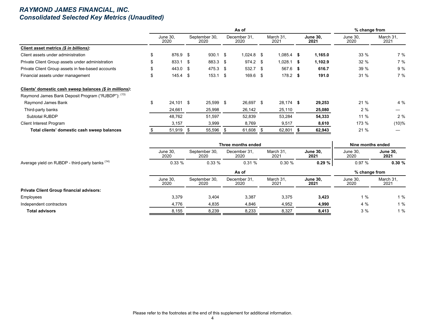#### *RAYMOND JAMES FINANCIAL, INC. Consolidated Selected Key Metrics (Unaudited)*

|                                                         |    |                  |                       | As of                |                   |                         | % change from    |                   |
|---------------------------------------------------------|----|------------------|-----------------------|----------------------|-------------------|-------------------------|------------------|-------------------|
|                                                         |    | June 30,<br>2020 | September 30,<br>2020 | December 31.<br>2020 | March 31,<br>2021 | <b>June 30.</b><br>2021 | June 30,<br>2020 | March 31,<br>2021 |
| Client asset metrics (\$ in billions):                  |    |                  |                       |                      |                   |                         |                  |                   |
| Client assets under administration                      |    | 876.9 \$         | $930.1 \quad $$       | $1,024.8$ \$         | $1,085.4$ \$      | 1,165.0                 | 33%              | 7%                |
| Private Client Group assets under administration        |    | 833.1 \$         | 883.3 \$              | 974.2 \$             | $1,028.1$ \$      | 1,102.9                 | 32 %             | 7%                |
| Private Client Group assets in fee-based accounts       |    | 443.0 \$         | 475.3 \$              | 532.7 \$             | 567.6 \$          | 616.7                   | 39 %             | 9%                |
| Financial assets under management                       | S  | $145.4$ \$       | $153.1$ \$            | $169.6$ \$           | $178.2$ \$        | 191.0                   | 31%              | 7%                |
| Clients' domestic cash sweep balances (\$ in millions): |    |                  |                       |                      |                   |                         |                  |                   |
| Raymond James Bank Deposit Program ("RJBDP"): (13)      |    |                  |                       |                      |                   |                         |                  |                   |
| Raymond James Bank                                      | \$ | $24,101$ \$      | 25,599 \$             | 26,697 \$            | 28,174 \$         | 29,253                  | 21%              | 4%                |
| Third-party banks                                       |    | 24,661           | 25,998                | 26,142               | 25,110            | 25,080                  | 2%               |                   |
| Subtotal RJBDP                                          |    | 48,762           | 51,597                | 52,839               | 53,284            | 54,333                  | 11 %             | 2%                |
| <b>Client Interest Program</b>                          |    | 3,157            | 3,999                 | 8,769                | 9,517             | 8,610                   | 173 %            | $(10)\%$          |
| Total clients' domestic cash sweep balances             |    | 51,919 \$        | 55,596 \$             | 61,608 \$            | 62,801            | 62,943                  | 21 %             |                   |

|                                                 |                  |                       | Three months ended   |                   |                         | Nine months ended |                         |
|-------------------------------------------------|------------------|-----------------------|----------------------|-------------------|-------------------------|-------------------|-------------------------|
|                                                 | June 30,<br>2020 | September 30,<br>2020 | December 31.<br>2020 | March 31,<br>2021 | <b>June 30,</b><br>2021 | June 30.<br>2020  | <b>June 30,</b><br>2021 |
| Average yield on RJBDP - third-party banks (14) | 0.33%            | 0.33%                 | 0.31%                | 0.30%             | 0.29%                   | 0.97%             | 0.30%                   |
|                                                 |                  |                       | As of                |                   |                         | % change from     |                         |
|                                                 | June 30.<br>2020 | September 30,<br>2020 | December 31.<br>2020 | March 31.<br>2021 | <b>June 30.</b><br>2021 | June 30.<br>2020  | March 31,<br>2021       |
| <b>Private Client Group financial advisors:</b> |                  |                       |                      |                   |                         |                   |                         |
| Employees                                       | 3,379            | 3,404                 | 3,387                | 3,375             | 3,423                   | 1%                | 1%                      |
| Independent contractors                         | 4,776            | 4,835                 | 4,846                | 4,952             | 4,990                   | 4 %               | 1%                      |
| <b>Total advisors</b>                           | 8,155            | 8,239                 | 8,233                | 8,327             | 8,413                   | 3%                | 1%                      |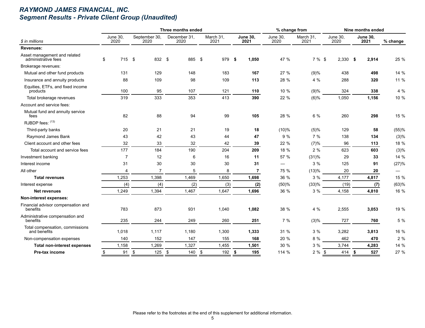## *RAYMOND JAMES FINANCIAL, INC. Segment Results - Private Client Group (Unaudited)*

|                                                     |                         |                       | Three months ended   |                   |                         | % change from            |                   |                  | Nine months ended       |          |
|-----------------------------------------------------|-------------------------|-----------------------|----------------------|-------------------|-------------------------|--------------------------|-------------------|------------------|-------------------------|----------|
| \$ in millions                                      | <b>June 30,</b><br>2020 | September 30,<br>2020 | December 31,<br>2020 | March 31,<br>2021 | <b>June 30,</b><br>2021 | <b>June 30,</b><br>2020  | March 31,<br>2021 | June 30,<br>2020 | <b>June 30,</b><br>2021 | % change |
| <b>Revenues:</b>                                    |                         |                       |                      |                   |                         |                          |                   |                  |                         |          |
| Asset management and related<br>administrative fees | \$<br>715 \$            | 832 \$                | 885 \$               | 979               | 1,050<br>- \$           | 47 %                     | 7 % \$            | $2,330$ \$       | 2,914                   | 25 %     |
| Brokerage revenues:                                 |                         |                       |                      |                   |                         |                          |                   |                  |                         |          |
| Mutual and other fund products                      | 131                     | 129                   | 148                  | 183               | 167                     | 27 %                     | (9)%              | 438              | 498                     | 14 %     |
| Insurance and annuity products                      | 88                      | 109                   | 98                   | 109               | 113                     | 28 %                     | 4 %               | 288              | 320                     | 11 %     |
| Equities, ETFs, and fixed income<br>products        | 100                     | 95                    | 107                  | 121               | 110                     | 10 %                     | (9)%              | 324              | 338                     | 4 %      |
| Total brokerage revenues                            | 319                     | 333                   | 353                  | 413               | 390                     | 22 %                     | (6)%              | 1,050            | 1,156                   | 10 %     |
| Account and service fees:                           |                         |                       |                      |                   |                         |                          |                   |                  |                         |          |
| Mutual fund and annuity service<br>fees             | 82                      | 88                    | 94                   | 99                | 105                     | 28 %                     | 6 %               | 260              | 298                     | 15 %     |
| RJBDP fees: (13)                                    |                         |                       |                      |                   |                         |                          |                   |                  |                         |          |
| Third-party banks                                   | 20                      | 21                    | 21                   | 19                | 18                      | (10)%                    | (5)%              | 129              | 58                      | (55)%    |
| Raymond James Bank                                  | 43                      | 42                    | 43                   | 44                | 47                      | 9%                       | 7%                | 138              | 134                     | (3)%     |
| Client account and other fees                       | 32                      | 33                    | 32                   | 42                | 39                      | 22 %                     | (7)%              | 96               | 113                     | 18 %     |
| Total account and service fees                      | 177                     | 184                   | 190                  | 204               | 209                     | 18 %                     | 2%                | 623              | 603                     | (3)%     |
| Investment banking                                  | $\overline{7}$          | 12                    | 6                    | 16                | 11                      | 57 %                     | (31)%             | 29               | 33                      | 14 %     |
| Interest income                                     | 31                      | 30                    | 30                   | 30                | 31                      | $\overline{\phantom{0}}$ | 3%                | 125              | 91                      | (27)%    |
| All other                                           | $\overline{4}$          | $\overline{7}$        | 5                    | 8                 | $\overline{7}$          | 75 %                     | (13)%             | 20               | 20                      |          |
| <b>Total revenues</b>                               | 1,253                   | 1,398                 | 1,469                | 1,650             | 1,698                   | 36 %                     | 3 %               | 4,177            | 4,817                   | 15 %     |
| Interest expense                                    | (4)                     | (4)                   | (2)                  | (3)               | (2)                     | (50)%                    | (33)%             | (19)             | (7)                     | (63)%    |
| <b>Net revenues</b>                                 | 1,249                   | 1,394                 | 1,467                | 1,647             | 1,696                   | 36 %                     | 3%                | 4,158            | 4,810                   | 16 %     |
| Non-interest expenses:                              |                         |                       |                      |                   |                         |                          |                   |                  |                         |          |
| Financial advisor compensation and<br>benefits      | 783                     | 873                   | 931                  | 1,040             | 1,082                   | 38 %                     | 4%                | 2,555            | 3,053                   | 19 %     |
| Administrative compensation and<br>benefits         | 235                     | 244                   | 249                  | 260               | 251                     | 7%                       | (3)%              | 727              | 760                     | 5 %      |
| Total compensation, commissions<br>and benefits     | 1,018                   | 1,117                 | 1,180                | 1,300             | 1,333                   | 31 %                     | 3%                | 3,282            | 3,813                   | 16 %     |
| Non-compensation expenses                           | 140                     | 152                   | 147                  | 155               | 168                     | 20 %                     | 8 %               | 462              | 470                     | 2%       |
| Total non-interest expenses                         | 1,158                   | 1,269                 | 1,327                | 1,455             | 1,501                   | 30 %                     | 3%                | 3,744            | 4,283                   | 14 %     |
| Pre-tax income                                      | 91<br>\$                | \$<br>125             | \$<br>140            | 192<br>\$         | \$<br>195               | 114 %                    | $2%$ \$           | 414              | 527<br>\$               | 27 %     |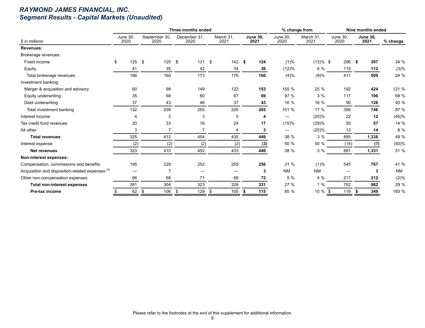## *RAYMOND JAMES FINANCIAL, INC. Segment Results - Capital Markets (Unaudited)*

|                                                             |                  |      |                       | Three months ended   |                   |    |                         | % change from           |                   |                  | Nine months ended       |            |
|-------------------------------------------------------------|------------------|------|-----------------------|----------------------|-------------------|----|-------------------------|-------------------------|-------------------|------------------|-------------------------|------------|
| \$ in millions                                              | June 30.<br>2020 |      | September 30,<br>2020 | December 31.<br>2020 | March 31.<br>2021 |    | <b>June 30.</b><br>2021 | <b>June 30,</b><br>2020 | March 31.<br>2021 | June 30.<br>2020 | <b>June 30.</b><br>2021 | $%$ change |
| <b>Revenues:</b>                                            |                  |      |                       |                      |                   |    |                         |                         |                   |                  |                         |            |
| Brokerage revenues:                                         |                  |      |                       |                      |                   |    |                         |                         |                   |                  |                         |            |
| Fixed income                                                | \$               | 125S | 125                   | \$<br>131            | \$<br>142         | \$ | 124                     | (1)%                    | $(13)%$ \$        | 296              | -\$<br>397              | 34 %       |
| Equity                                                      |                  | 41   | 35                    | 42                   | 34                |    | 36                      | (12)%                   | 6 %               | 115              | 112                     | (3)%       |
| Total brokerage revenues                                    |                  | 166  | 160                   | 173                  | 176               |    | 160                     | (4)%                    | (9)%              | 411              | 509                     | 24 %       |
| Investment banking:                                         |                  |      |                       |                      |                   |    |                         |                         |                   |                  |                         |            |
| Merger & acquisition and advisory                           |                  | 60   | 98                    | 149                  | 122               |    | 153                     | 155 %                   | 25 %              | 192              | 424                     | 121 %      |
| Equity underwriting                                         |                  | 35   | 68                    | 60                   | 67                |    | 69                      | 97 %                    | 3%                | 117              | 196                     | 68 %       |
| Debt underwriting                                           |                  | 37   | 43                    | 46                   | 37                |    | 43                      | 16 %                    | 16 %              | 90               | 126                     | 40 %       |
| Total investment banking                                    |                  | 132  | 209                   | 255                  | 226               |    | 265                     | 101 %                   | 17 %              | 399              | 746                     | 87 %       |
| Interest income                                             |                  | 4    | 3                     | 3                    | 5                 |    | 4                       |                         | (20)%             | 22               | 12                      | (45)%      |
| Tax credit fund revenues                                    |                  | 20   | 33                    | 16                   | 24                |    | 17                      | (15)%                   | (29)%             | 50               | 57                      | 14 %       |
| All other                                                   |                  | 3    | $\overline{7}$        | $\overline{7}$       | 4                 |    | 3                       |                         | (25)%             | 13               | 14                      | 8%         |
| <b>Total revenues</b>                                       |                  | 325  | 412                   | 454                  | 435               |    | 449                     | 38 %                    | 3%                | 895              | 1,338                   | 49 %       |
| Interest expense                                            |                  | (2)  | (2)                   | (2)                  | (2)               |    | (3)                     | 50 %                    | 50 %              | (14)             | (7)                     | (50)%      |
| <b>Net revenues</b>                                         |                  | 323  | 410                   | 452                  | 433               |    | 446                     | 38 %                    | 3%                | 881              | 1,331                   | 51 %       |
| Non-interest expenses:                                      |                  |      |                       |                      |                   |    |                         |                         |                   |                  |                         |            |
| Compensation, commissions and benefits                      |                  | 195  | 229                   | 252                  | 259               |    | 256                     | 31 %                    | (1)%              | 545              | 767                     | 41 %       |
| Acquisition and disposition-related expenses <sup>(4)</sup> |                  |      | $\overline{7}$        |                      |                   |    | 3                       | <b>NM</b>               | <b>NM</b>         |                  | 3                       | <b>NM</b>  |
| Other non-compensation expenses                             |                  | 66   | 68                    | 71                   | 69                |    | 72                      | 9 %                     | 4%                | 217              | 212                     | (2)%       |
| <b>Total non-interest expenses</b>                          |                  | 261  | 304                   | 323                  | 328               |    | 331                     | 27 %                    | 1%                | 762              | 982                     | 29 %       |
| Pre-tax income                                              |                  | 62   | 106<br>\$             | 129<br>\$            | \$<br>105         | £  | 115                     | 85 %                    | 10 %              | 119              | 349                     | 193 %      |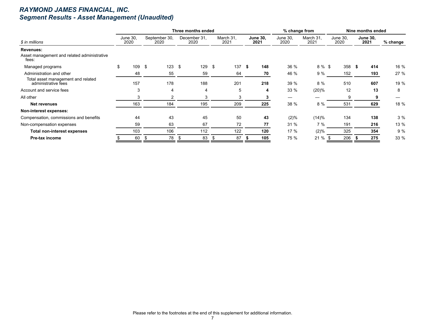## *RAYMOND JAMES FINANCIAL, INC. Segment Results - Asset Management (Unaudited)*

|                                                           |                         |                       |      | Three months ended   |                   |      |                         | % change from    |                   |                  |      | Nine months ended       |          |
|-----------------------------------------------------------|-------------------------|-----------------------|------|----------------------|-------------------|------|-------------------------|------------------|-------------------|------------------|------|-------------------------|----------|
| \$ in millions                                            | <b>June 30,</b><br>2020 | September 30,<br>2020 |      | December 31,<br>2020 | March 31,<br>2021 |      | <b>June 30,</b><br>2021 | June 30,<br>2020 | March 31,<br>2021 | June 30,<br>2020 |      | <b>June 30,</b><br>2021 | % change |
| Revenues:                                                 |                         |                       |      |                      |                   |      |                         |                  |                   |                  |      |                         |          |
| Asset management and related administrative<br>fees:      |                         |                       |      |                      |                   |      |                         |                  |                   |                  |      |                         |          |
| Managed programs                                          | \$<br>109               | \$<br>123             | \$   | 129                  | \$<br>137         | - \$ | 148                     | 36 %             | 8 % \$            | 358              | - 56 | 414                     | 16 %     |
| Administration and other                                  | 48                      | 55                    |      | 59                   | 64                |      | 70                      | 46 %             | 9%                | 152              |      | 193                     | 27 %     |
| Total asset management and related<br>administrative fees | 157                     | 178                   |      | 188                  | 201               |      | 218                     | 39 %             | 8 %               | 510              |      | 607                     | 19 %     |
| Account and service fees                                  | 3                       | 4                     |      | 4                    | 5                 |      | 4                       | 33 %             | (20)%             | 12               |      | 13                      | 8        |
| All other                                                 | 3                       | 2                     |      | 3                    | 3                 |      |                         |                  |                   | 9                |      | 9                       |          |
| <b>Net revenues</b>                                       | 163                     | 184                   |      | 195                  | 209               |      | 225                     | 38 %             | 8 %               | 531              |      | 629                     | 18 %     |
| Non-interest expenses:                                    |                         |                       |      |                      |                   |      |                         |                  |                   |                  |      |                         |          |
| Compensation, commissions and benefits                    | 44                      | 43                    |      | 45                   | 50                |      | 43                      | (2)%             | (14)%             | 134              |      | 138                     | 3%       |
| Non-compensation expenses                                 | 59                      | 63                    |      | 67                   | 72                |      | 77                      | 31 %             | 7%                | 191              |      | 216                     | 13 %     |
| <b>Total non-interest expenses</b>                        | 103                     | 106                   |      | 112                  | 122               |      | 120                     | 17 %             | (2)%              | 325              |      | 354                     | 9 %      |
| Pre-tax income                                            | 60                      | 78<br>- \$            | - 56 | 83                   | 87                |      | 105                     | 75 %             | $21 \%$ \$        | 206              |      | 275                     | 33 %     |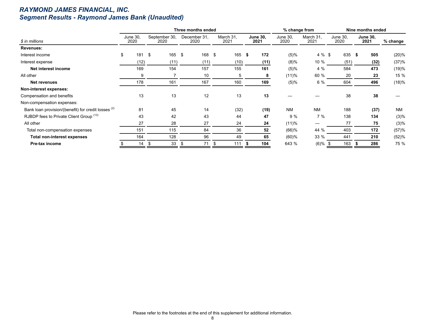## *RAYMOND JAMES FINANCIAL, INC. Segment Results - Raymond James Bank (Unaudited)*

|                                                                |                  |                       | Three months ended   |                   |                         | % change from    |                          |                  | Nine months ended       |           |
|----------------------------------------------------------------|------------------|-----------------------|----------------------|-------------------|-------------------------|------------------|--------------------------|------------------|-------------------------|-----------|
| \$ in millions                                                 | June 30,<br>2020 | September 30,<br>2020 | December 31,<br>2020 | March 31,<br>2021 | <b>June 30,</b><br>2021 | June 30,<br>2020 | March 31.<br>2021        | June 30,<br>2020 | <b>June 30,</b><br>2021 | % change  |
| Revenues:                                                      |                  |                       |                      |                   |                         |                  |                          |                  |                         |           |
| Interest income                                                | 181<br>\$        | 165<br>-\$            | \$<br>168            | \$<br>165         | 172<br>-\$              | $(5)\%$          | 4 % \$                   | 635              | 505<br>Ŝ.               | (20)%     |
| Interest expense                                               | (12)             | (11)                  | (11)                 | (10)              | (11)                    | $(8)\%$          | 10 %                     | (51)             | (32)                    | (37)%     |
| Net interest income                                            | 169              | 154                   | 157                  | 155               | 161                     | $(5)\%$          | 4 %                      | 584              | 473                     | (19)%     |
| All other                                                      | 9                | 7                     | 10                   | 5                 | 8                       | (11)%            | 60 %                     | 20               | 23                      | 15 %      |
| Net revenues                                                   | 178              | 161                   | 167                  | 160               | 169                     | $(5)\%$          | 6 %                      | 604              | 496                     | (18)%     |
| Non-interest expenses:                                         |                  |                       |                      |                   |                         |                  |                          |                  |                         |           |
| Compensation and benefits                                      | 13               | 13                    | 12                   | 13                | 13                      |                  |                          | 38               | 38                      |           |
| Non-compensation expenses:                                     |                  |                       |                      |                   |                         |                  |                          |                  |                         |           |
| Bank loan provision/(benefit) for credit losses <sup>(2)</sup> | 81               | 45                    | 14                   | (32)              | (19)                    | <b>NM</b>        | <b>NM</b>                | 188              | (37)                    | <b>NM</b> |
| RJBDP fees to Private Client Group (13)                        | 43               | 42                    | 43                   | 44                | 47                      | 9%               | 7 %                      | 138              | 134                     | (3)%      |
| All other                                                      | 27               | 28                    | 27                   | 24                | 24                      | (11)%            | $\overline{\phantom{0}}$ | 77               | 75                      | (3)%      |
| Total non-compensation expenses                                | 151              | 115                   | 84                   | 36                | 52                      | $(66)$ %         | 44 %                     | 403              | 172                     | (57)%     |
| <b>Total non-interest expenses</b>                             | 164              | 128                   | 96                   | 49                | 65                      | $(60)$ %         | 33 %                     | 441              | 210                     | (52)%     |
| Pre-tax income                                                 | 14               | 33<br>- \$            | 71                   | 111<br>- \$       | 104                     | 643 %            | $(6)\%$ \$               | 163              | 286                     | 75 %      |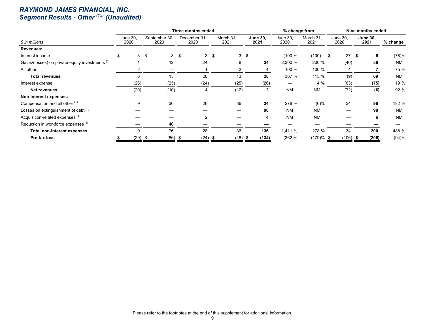#### *RAYMOND JAMES FINANCIAL, INC. Segment Results - Other (15) (Unaudited)*

|                                                             |                         |      |                       | Three months ended   |     |                   |                         | % change from    |                   |            |                         |      | Nine months ended |           |
|-------------------------------------------------------------|-------------------------|------|-----------------------|----------------------|-----|-------------------|-------------------------|------------------|-------------------|------------|-------------------------|------|-------------------|-----------|
| \$ in millions                                              | <b>June 30,</b><br>2020 |      | September 30,<br>2020 | December 31.<br>2020 |     | March 31.<br>2021 | <b>June 30.</b><br>2021 | June 30,<br>2020 | March 31,<br>2021 |            | <b>June 30,</b><br>2020 | 2021 | <b>June 30,</b>   | % change  |
| <b>Revenues:</b>                                            |                         |      |                       |                      |     |                   |                         |                  |                   |            |                         |      |                   |           |
| Interest income                                             | \$<br>3 <sup>1</sup>    | -\$  | 3                     | \$<br>3              | -\$ | 3 <sup>5</sup>    |                         | $(100)\%$        | (100)             | $^{\circ}$ | 27S                     |      | 6                 | (78)%     |
| Gains/(losses) on private equity investments <sup>(1)</sup> |                         |      | 12                    | 24                   |     | 8                 | 24                      | 2,300 %          | 200 %             |            | (40)                    |      | 56                | <b>NM</b> |
| All other                                                   |                         |      |                       |                      |     | 2                 | 4                       | 100 %            | 100 %             |            | 4                       |      |                   | 75 %      |
| <b>Total revenues</b>                                       | 6                       |      | 15                    | 28                   |     | 13                | 28                      | 367 %            | 115 %             |            | (9)                     |      | 69                | <b>NM</b> |
| Interest expense                                            | (26)                    |      | (25)                  | (24)                 |     | (25)              | (26)                    |                  | 4 %               |            | (63)                    |      | (75)              | 19 %      |
| Net revenues                                                | (20)                    |      | (10)                  |                      |     | (12)              | 2                       | <b>NM</b>        | <b>NM</b>         |            | (72)                    |      | (6)               | 92 %      |
| Non-interest expenses:                                      |                         |      |                       |                      |     |                   |                         |                  |                   |            |                         |      |                   |           |
| Compensation and all other (1)                              | 9                       |      | 30                    | 26                   |     | 36                | 34                      | 278 %            | $(6)\%$           |            | 34                      |      | 96                | 182 %     |
| Losses on extinguishment of debt (3)                        |                         |      |                       |                      |     |                   | 98                      | <b>NM</b>        | <b>NM</b>         |            |                         |      | 98                | <b>NM</b> |
| Acquisition-related expenses <sup>(4)</sup>                 |                         |      |                       | 2                    |     |                   |                         | <b>NM</b>        | <b>NM</b>         |            |                         |      | 6                 | <b>NM</b> |
| Reduction in workforce expenses <sup>(5)</sup>              |                         |      | 46                    |                      |     |                   |                         |                  |                   |            |                         |      |                   |           |
| <b>Total non-interest expenses</b>                          |                         |      | 76                    | 28                   |     | 36                | 136                     | 1,411%           | 278 %             |            | 34                      |      | 200               | 488 %     |
| Pre-tax loss                                                | (29)                    | - 56 | $(86)$ \$             | (24)                 | . ა | (48)              | (134)                   | $(362)$ %        | $(179)%$ \$       |            | (106)                   |      | (206)             | (94)%     |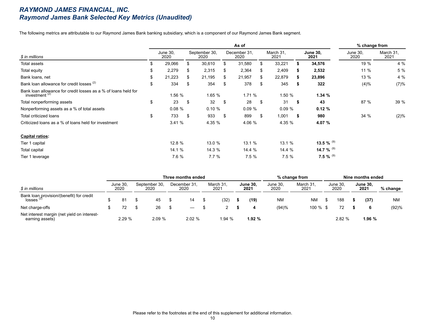#### *RAYMOND JAMES FINANCIAL, INC. Raymond James Bank Selected Key Metrics (Unaudited)*

The following metrics are attributable to our Raymond James Bank banking subsidiary, which is a component of our Raymond James Bank segment.

|                                                                                    |     |                  |     |                       |    | As of                |     |                   |    |                         | % change from    |                   |
|------------------------------------------------------------------------------------|-----|------------------|-----|-----------------------|----|----------------------|-----|-------------------|----|-------------------------|------------------|-------------------|
| \$ in millions                                                                     |     | June 30,<br>2020 |     | September 30,<br>2020 |    | December 31.<br>2020 |     | March 31.<br>2021 |    | <b>June 30,</b><br>2021 | June 30,<br>2020 | March 31,<br>2021 |
| Total assets                                                                       | \$. | 29,066           | \$. | 30,610                | \$ | 31,580               |     | 33,221            |    | 34,576                  | 19 %             | 4 %               |
| Total equity                                                                       | \$  | 2,279            | S   | 2,315                 | S  | 2,364                | Ж.  | 2,409             | s. | 2,532                   | 11 %             | 5 %               |
| Bank loans, net                                                                    | \$  | 21,223           | S   | 21,195                | S. | 21,957               | S.  | 22,879            | S. | 23,896                  | 13 %             | 4 %               |
| Bank loan allowance for credit losses (2)                                          | \$  | 334              | S   | 354                   | S  | 378                  |     | 345               | 5  | 322                     | (4)%             | (7)%              |
| Bank loan allowance for credit losses as a % of loans held for<br>investment $(2)$ |     | 1.56 %           |     | 1.65 %                |    | 1.71%                |     | 1.50 %            |    | 1.34 $%$                |                  |                   |
| Total nonperforming assets                                                         | \$  | 23               | \$  | 32                    | \$ | 28                   | \$  | 31                | S. | 43                      | 87 %             | 39 %              |
| Nonperforming assets as a % of total assets                                        |     | 0.08%            |     | 0.10%                 |    | 0.09%                |     | 0.09%             |    | 0.12%                   |                  |                   |
| Total criticized loans                                                             | \$  | 733              | -S  | 933                   | \$ | 899                  | \$. | 1,001             | \$ | 980                     | 34 %             | (2)%              |
| Criticized loans as a % of loans held for investment                               |     | 3.41%            |     | 4.35 %                |    | 4.06 %               |     | 4.35 %            |    | 4.07 %                  |                  |                   |
| <b>Capital ratios:</b>                                                             |     |                  |     |                       |    |                      |     |                   |    |                         |                  |                   |
| Tier 1 capital                                                                     |     | 12.8 %           |     | 13.0 %                |    | 13.1%                |     | 13.1 %            |    | 13.5 % $^{(9)}$         |                  |                   |
| Total capital                                                                      |     | 14.1 %           |     | 14.3 %                |    | 14.4 %               |     | 14.4 %            |    | 14.7 % $^{(9)}$         |                  |                   |
| Tier 1 leverage                                                                    |     | 7.6 %            |     | 7.7%                  |    | 7.5%                 |     | 7.5%              |    | 7.5 % $^{(9)}$          |                  |                   |

|                                                                |                  |                       | Three months ended   |                  |                         |                  | $%$ change from   |                  | Nine months ended       |            |
|----------------------------------------------------------------|------------------|-----------------------|----------------------|------------------|-------------------------|------------------|-------------------|------------------|-------------------------|------------|
| \$ in millions                                                 | June 30.<br>2020 | September 30,<br>2020 | December 31,<br>2020 | March 31<br>2021 | <b>June 30,</b><br>2021 | June 30,<br>2020 | March 31,<br>2021 | June 30,<br>2020 | <b>June 30,</b><br>2021 | $%$ change |
| Bank loan provision/(benefit) for credit losses $(2)$          | 81               | 45                    | 14                   | (32)             | (19)                    | <b>NM</b>        | <b>NM</b>         | 188              | (37)                    | <b>NM</b>  |
| Net charge-offs                                                | 72               | 26                    |                      |                  |                         | (94)%            | $100 \%$ \$       | 72               | 6                       | (92)%      |
| Net interest margin (net yield on interest-<br>earning assets) | 2.29 %           | 2.09%                 | 2.02 %               | 1.94 %           | 1.92%                   |                  |                   | 2.82%            | 1.96 %                  |            |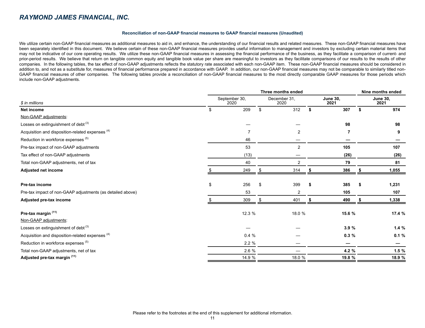#### **Reconciliation of non-GAAP financial measures to GAAP financial measures (Unaudited)**

We utilize certain non-GAAP financial measures as additional measures to aid in, and enhance, the understanding of our financial results and related measures. These non-GAAP financial measures have been separately identified in this document. We believe certain of these non-GAAP financial measures provides useful information to management and investors by excluding certain material items that may not be indicative of our core operating results. We utilize these non-GAAP financial measures in assessing the financial performance of the business, as they facilitate a comparison of current- and prior-period results. We believe that return on tangible common equity and tangible book value per share are meaningful to investors as they facilitate comparisons of our results to the results of other companies. In the following tables, the tax effect of non-GAAP adjustments reflects the statutory rate associated with each non-GAAP item. These non-GAAP financial measures should be considered in addition to, and not as a substitute for, measures of financial performance prepared in accordance with GAAP. In addition, our non-GAAP financial measures may not be comparable to similarly titled non-GAAP financial measures of other companies. The following tables provide a reconciliation of non-GAAP financial measures to the most directly comparable GAAP measures for those periods which include non-GAAP adjustments.

|                                                             |    | Three months ended    |    |                      |  |                         |        |                         |  |  |  |  |
|-------------------------------------------------------------|----|-----------------------|----|----------------------|--|-------------------------|--------|-------------------------|--|--|--|--|
| \$ in millions                                              |    | September 30,<br>2020 |    | December 31,<br>2020 |  | <b>June 30,</b><br>2021 |        | <b>June 30,</b><br>2021 |  |  |  |  |
| Net income                                                  |    | 209                   | \$ | 312                  |  | 307                     | \$     | 974                     |  |  |  |  |
| Non-GAAP adjustments:                                       |    |                       |    |                      |  |                         |        |                         |  |  |  |  |
| Losses on extinguishment of debt <sup>(3)</sup>             |    |                       |    |                      |  | 98                      |        | 98                      |  |  |  |  |
| Acquisition and disposition-related expenses <sup>(4)</sup> |    | 7                     |    | $\overline{2}$       |  | 7                       |        | 9                       |  |  |  |  |
| Reduction in workforce expenses (5)                         |    | 46                    |    |                      |  |                         |        |                         |  |  |  |  |
| Pre-tax impact of non-GAAP adjustments                      |    | 53                    |    | 2                    |  | 105                     |        | 107                     |  |  |  |  |
| Tax effect of non-GAAP adjustments                          |    | (13)                  |    |                      |  | (26)                    |        | (26)                    |  |  |  |  |
| Total non-GAAP adjustments, net of tax                      |    | 40                    |    | $\overline{2}$       |  | 79                      |        | 81                      |  |  |  |  |
| <b>Adjusted net income</b>                                  |    | 249                   |    | 314                  |  | 386                     |        | 1,055                   |  |  |  |  |
| Pre-tax income                                              | \$ | 256                   | \$ | 399                  |  | 385                     | \$     | 1,231                   |  |  |  |  |
| Pre-tax impact of non-GAAP adjustments (as detailed above)  |    | 53                    |    | $\overline{2}$       |  | 105                     |        | 107                     |  |  |  |  |
| Adjusted pre-tax income                                     |    | 309                   |    | 401                  |  | 490                     |        | 1,338                   |  |  |  |  |
| Pre-tax margin (11)<br>Non-GAAP adjustments:                |    | 12.3 %                |    | 18.0 %               |  | 15.6 %                  |        | 17.4 %                  |  |  |  |  |
| Losses on extinguishment of debt <sup>(3)</sup>             |    |                       |    |                      |  | 3.9%                    |        | 1.4%                    |  |  |  |  |
| Acquisition and disposition-related expenses <sup>(4)</sup> |    | 0.4%                  |    |                      |  | 0.3%                    |        | 0.1%                    |  |  |  |  |
| Reduction in workforce expenses (5)                         |    | 2.2%                  |    |                      |  | –                       |        |                         |  |  |  |  |
| Total non-GAAP adjustments, net of tax                      |    | 2.6%                  |    |                      |  | 4.2 %                   |        | 1.5%                    |  |  |  |  |
| Adjusted pre-tax margin (11)                                |    | 14.9 %                |    | 18.0 %               |  | 19.8 %                  | 18.9 % |                         |  |  |  |  |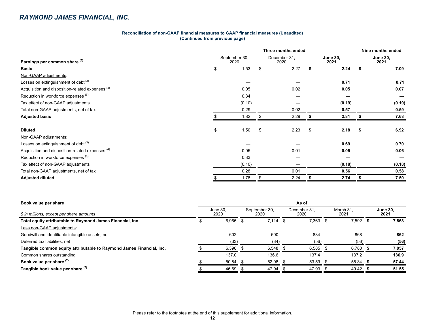#### **Reconciliation of non-GAAP financial measures to GAAP financial measures (Unaudited) (Continued from previous page)**

|                                                  | Three months ended    |        |    |                      |   |                         |    |                         |  |  |  |
|--------------------------------------------------|-----------------------|--------|----|----------------------|---|-------------------------|----|-------------------------|--|--|--|
| Earnings per common share (6)                    | September 30,<br>2020 |        |    | December 31,<br>2020 |   | <b>June 30,</b><br>2021 |    | <b>June 30,</b><br>2021 |  |  |  |
| <b>Basic</b>                                     | 1.53<br>\$            |        |    | 2.27                 |   | 2.24                    |    | 7.09                    |  |  |  |
| Non-GAAP adjustments:                            |                       |        |    |                      |   |                         |    |                         |  |  |  |
| Losses on extinguishment of debt <sup>(3)</sup>  |                       |        |    |                      |   | 0.71                    |    | 0.71                    |  |  |  |
| Acquisition and disposition-related expenses (4) |                       | 0.05   |    | 0.02                 |   | 0.05                    |    | 0.07                    |  |  |  |
| Reduction in workforce expenses (5)              |                       | 0.34   |    |                      |   |                         |    |                         |  |  |  |
| Tax effect of non-GAAP adjustments               |                       | (0.10) |    |                      |   | (0.19)                  |    | (0.19)                  |  |  |  |
| Total non-GAAP adjustments, net of tax           |                       | 0.29   |    | 0.02                 |   | 0.57                    |    | 0.59                    |  |  |  |
| <b>Adjusted basic</b>                            |                       | 1.82   |    | 2.29                 |   | 2.81                    |    | 7.68                    |  |  |  |
|                                                  |                       |        |    |                      |   |                         |    |                         |  |  |  |
| <b>Diluted</b>                                   | \$                    | 1.50   | \$ | 2.23                 | S | 2.18                    | -S | 6.92                    |  |  |  |
| Non-GAAP adjustments:                            |                       |        |    |                      |   |                         |    |                         |  |  |  |
| Losses on extinguishment of debt <sup>(3)</sup>  |                       |        |    |                      |   | 0.69                    |    | 0.70                    |  |  |  |
| Acquisition and disposition-related expenses (4) |                       | 0.05   |    | 0.01                 |   | 0.05                    |    | 0.06                    |  |  |  |
| Reduction in workforce expenses (5)              |                       | 0.33   |    |                      |   |                         |    |                         |  |  |  |
| Tax effect of non-GAAP adjustments               |                       | (0.10) |    |                      |   | (0.18)                  |    | (0.18)                  |  |  |  |
| Total non-GAAP adjustments, net of tax           |                       | 0.28   |    | 0.01                 |   | 0.56                    |    | 0.58                    |  |  |  |
| <b>Adjusted diluted</b>                          |                       | 1.78   |    | 2.24                 |   | 2.74                    |    | 7.50                    |  |  |  |

| Book value per share                                                 | As of            |       |  |                       |                      |       |      |                   |  |                         |  |  |
|----------------------------------------------------------------------|------------------|-------|--|-----------------------|----------------------|-------|------|-------------------|--|-------------------------|--|--|
| \$ in millions, except per share amounts                             | June 30.<br>2020 |       |  | September 30,<br>2020 | December 31.<br>2020 |       |      | March 31.<br>2021 |  | <b>June 30,</b><br>2021 |  |  |
| Total equity attributable to Raymond James Financial, Inc.           |                  | 6,965 |  | 7.114                 | - 5                  | 7.363 | - 55 | $7,592$ \$        |  | 7,863                   |  |  |
| Less non-GAAP adjustments:                                           |                  |       |  |                       |                      |       |      |                   |  |                         |  |  |
| Goodwill and identifiable intangible assets, net                     |                  | 602   |  | 600                   |                      | 834   |      | 868               |  | 862                     |  |  |
| Deferred tax liabilities, net                                        |                  | (33)  |  | (34)                  |                      | (56)  |      | (56)              |  | (56)                    |  |  |
| Tangible common equity attributable to Raymond James Financial, Inc. |                  | 6,396 |  | 6,548                 |                      | 6,585 |      | 6,780             |  | 7,057                   |  |  |
| Common shares outstanding                                            |                  | 137.0 |  | 136.6                 |                      | 137.4 |      | 137.2             |  | 136.9                   |  |  |
| Book value per share (7)                                             |                  | 50.84 |  | 52.08                 |                      | 53.59 |      | $55.34$ \$        |  | 57.44                   |  |  |
| Tangible book value per share (7)                                    |                  | 46.69 |  | 47.94                 |                      | 47.93 |      | 49.42             |  | 51.55                   |  |  |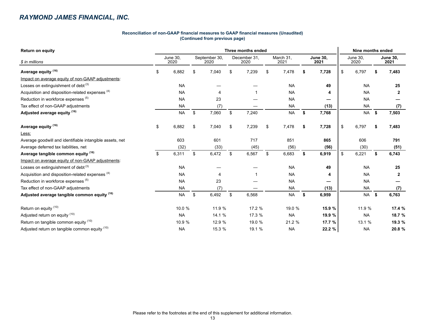#### **Reconciliation of non-GAAP financial measures to GAAP financial measures (Unaudited) (Continued from previous page)**

| <b>Return on equity</b>                                  | Three months ended |                  |               |                       |    |                      |    |                   |        |                         |                         | Nine months ended |    |                         |  |  |  |  |
|----------------------------------------------------------|--------------------|------------------|---------------|-----------------------|----|----------------------|----|-------------------|--------|-------------------------|-------------------------|-------------------|----|-------------------------|--|--|--|--|
| \$ in millions                                           |                    | June 30.<br>2020 |               | September 30,<br>2020 |    | December 31,<br>2020 |    | March 31.<br>2021 |        | <b>June 30.</b><br>2021 | <b>June 30,</b><br>2020 |                   |    | <b>June 30.</b><br>2021 |  |  |  |  |
| Average equity <sup>(16)</sup>                           | \$<br>6,882<br>\$  |                  |               | 7,040                 | \$ | 7,239                | \$ | 7,478             | \$.    | 7,728                   | \$                      | 6,797             | \$ | 7,483                   |  |  |  |  |
| Impact on average equity of non-GAAP adjustments:        |                    |                  |               |                       |    |                      |    |                   |        |                         |                         |                   |    |                         |  |  |  |  |
| Losses on extinguishment of debt $(3)$                   |                    | <b>NA</b>        |               |                       |    |                      |    | <b>NA</b>         |        | 49                      |                         | <b>NA</b>         |    | 25                      |  |  |  |  |
| Acquisition and disposition-related expenses (4)         |                    | <b>NA</b>        |               |                       |    |                      |    | <b>NA</b>         |        | 4                       |                         | <b>NA</b>         |    | $\mathbf{2}$            |  |  |  |  |
| Reduction in workforce expenses (5)                      |                    | <b>NA</b>        |               | 23                    |    |                      |    | <b>NA</b>         |        |                         |                         | <b>NA</b>         |    |                         |  |  |  |  |
| Tax effect of non-GAAP adjustments                       |                    | <b>NA</b>        |               | (7)                   |    |                      |    | <b>NA</b>         |        | (13)                    |                         | <b>NA</b>         |    | (7)                     |  |  |  |  |
| Adjusted average equity (16)                             |                    | <b>NA</b>        | $\sqrt[6]{2}$ | 7,060                 | \$ | 7,240                |    | <b>NA</b>         | \$     | 7,768                   |                         | <b>NA</b>         | \$ | 7,503                   |  |  |  |  |
| Average equity <sup>(16)</sup>                           | \$                 | 6,882            | \$            | 7,040                 | \$ | 7,239                | \$ | 7,478             | \$     | 7,728                   | \$                      | 6,797             | \$ | 7,483                   |  |  |  |  |
| Less:                                                    |                    |                  |               |                       |    |                      |    |                   |        |                         |                         |                   |    |                         |  |  |  |  |
| Average goodwill and identifiable intangible assets, net |                    | 603              |               | 601                   |    | 717                  |    | 851               |        | 865                     |                         | 606               |    | 791                     |  |  |  |  |
| Average deferred tax liabilities, net                    |                    | (32)             | (33)          |                       |    | (45)                 |    | (56)              |        | (56)                    |                         | (30)              |    | (51)                    |  |  |  |  |
| Average tangible common equity (16)                      | \$                 | 6,311            | \$            | 6,472                 | \$ | 6,567                | \$ | 6,683             | \$     | 6,919                   | \$                      | 6,221             | \$ | 6,743                   |  |  |  |  |
| Impact on average equity of non-GAAP adjustments:        |                    |                  |               |                       |    |                      |    |                   |        |                         |                         |                   |    |                         |  |  |  |  |
| Losses on extinguishment of debt <sup>(3)</sup>          |                    | <b>NA</b>        |               |                       |    |                      |    | <b>NA</b>         |        | 49                      |                         | <b>NA</b>         |    | 25                      |  |  |  |  |
| Acquisition and disposition-related expenses (4)         |                    | <b>NA</b>        |               |                       |    |                      |    | <b>NA</b>         |        | 4                       |                         | <b>NA</b>         |    | $\mathbf{2}$            |  |  |  |  |
| Reduction in workforce expenses (5)                      |                    | <b>NA</b>        |               | 23                    |    |                      |    | <b>NA</b>         |        |                         |                         | <b>NA</b>         |    |                         |  |  |  |  |
| Tax effect of non-GAAP adjustments                       |                    | <b>NA</b>        |               | (7)                   |    |                      |    | <b>NA</b>         |        | (13)                    |                         | <b>NA</b>         |    | (7)                     |  |  |  |  |
| Adjusted average tangible common equity (16)             |                    | <b>NA</b>        | \$            | 6,492                 | \$ | 6,568                |    | <b>NA</b>         | \$     | 6,959                   |                         | <b>NA</b>         | \$ | 6,763                   |  |  |  |  |
| Return on equity (10)                                    |                    | 10.0 %           |               | 11.9 %                |    | 17.2 %               |    | 19.0 %            |        | 15.9 %                  |                         | 11.9 %            |    | 17.4 %                  |  |  |  |  |
| Adjusted return on equity (10)                           |                    | <b>NA</b>        |               | 14.1 %                |    | 17.3 %               |    | <b>NA</b>         | 19.9 % |                         |                         | <b>NA</b>         |    | 18.7 %                  |  |  |  |  |
| Return on tangible common equity (10)                    |                    | 10.9 %           |               | 12.9 %                |    | 19.0 %               |    | 21.2 %            |        | 17.7 %                  |                         | 13.1 %            |    | 19.3 %                  |  |  |  |  |
| Adjusted return on tangible common equity (10)           |                    | <b>NA</b>        |               | 15.3 %                |    | 19.1 %               |    | <b>NA</b>         |        | 22.2 %                  |                         | <b>NA</b>         |    | 20.8 %                  |  |  |  |  |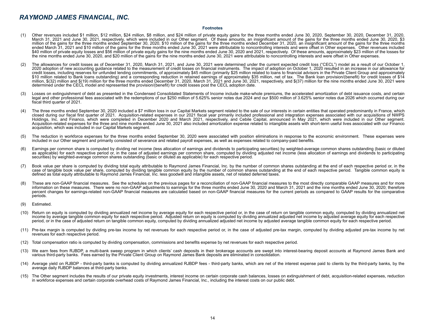#### **Footnotes**

- (1) Other revenues included \$1 million, \$12 million, \$24 million, \$8 million, and \$24 million of private equity gains for the three months ended June 30, 2020, September 30, 2020, December 31, 2020, March 31, 2021 and June 30, 2021, respectively, which were included in our Other segment. Of these amounts, an insignificant amount of the gains for the three months ended June 30, 2020, \$3 million of the gains for the three months ended September 30, 2020, \$10 million of the gains for the three months ended December 31, 2020, an insignificant amount of the gains for the three months ended March 31, 2021 and \$10 million of the gains for the three months ended June 30, 2021 were attributable to noncontrolling interests and were offset in Other expenses. Other revenues included \$40 million of private equity losses and \$56 million of private equity gains for the nine months ended June 30, 2020 and 2021, respectively. Of these amounts, approximately \$23 million of the losses for the nine months ended June 30, 2020, and \$20 million of the gains for the nine months ended June 30, 2021 were attributable to noncontrolling interests and were offset in Other expenses.
- (2) The allowances for credit losses as of December 31, 2020, March 31, 2021, and June 30, 2021 were determined under the current expected credit loss ("CECL") model as a result of our October 1, 2020 adoption of new accounting guidance related to the measurement of credit losses on financial instruments. The impact of adoption on October 1, 2020 resulted in an increase in our allowance for credit losses, including reserves for unfunded lending commitments, of approximately \$45 million (primarily \$25 million related to loans to financial advisors in the Private Client Group and approximately \$10 million related to Bank loans outstanding) and a corresponding reduction in retained earnings of approximately \$35 million, net of tax. The Bank loan provision/(benefit) for credit losses of \$14 million, \$(32) million and \$(19) million for the three months ended December 31, 2020, March 31, 2021 and June 30, 2021, respectively, and \$(37) million for the nine months ended June 30, 2021 were determined under the CECL model and represented the provision/(benefit) for credit losses post the CECL adoption date.
- (3) Losses on extinguishment of debt as presented in the Condensed Consolidated Statements of Income include make-whole premiums, the accelerated amortization of debt issuance costs, and certain legal and other professional fees associated with the redemptions of our \$250 million of 5.625% senior notes due 2024 and our \$500 million of 3.625% senior notes due 2026 which occurred during our fiscal third quarter of 2021.
- (4) The three months ended September 30, 2020 included a \$7 million loss in our Capital Markets segment related to the sale of our interests in certain entities that operated predominantly in France, which closed during our fiscal first quarter of 2021. Acquisition-related expenses in our 2021 fiscal year primarily included professional and integration expenses associated with our acquisitions of NWPS Holdings, Inc. and Financo, which were completed in December 2020 and March 2021, respectively, and Cebile Capital, announced in May 2021, which were included in our Other segment. Acquisition-related expenses for the three and nine months ended June 30, 2021 also included amortization expense related to intangible assets with short-term useful lives associated with our Financo acquisition, which was included in our Capital Markets segment.
- (5) The reduction in workforce expenses for the three months ended September 30, 2020 were associated with position eliminations in response to the economic environment. These expenses were included in our Other segment and primarily consisted of severance and related payroll expenses, as well as expenses related to company-paid benefits.
- (6) Earnings per common share is computed by dividing net income (less allocation of earnings and dividends to participating securities) by weighted-average common shares outstanding (basic or diluted as applicable) for each respective period or, in the case of adjusted earnings per common share, computed by dividing adjusted net income (less allocation of earnings and dividends to participating securities) by weighted-average common shares outstanding (basic or diluted as applicable) for each respective period.
- (7) Book value per share is computed by dividing total equity attributable to Raymond James Financial, Inc. by the number of common shares outstanding at the end of each respective period or, in the case of tangible book value per share, computed by dividing tangible common equity by the number of common shares outstanding at the end of each respective period. Tangible common equity is defined as total equity attributable to Raymond James Financial, Inc. less goodwill and intangible assets, net of related deferred taxes.
- (8) These are non-GAAP financial measures. See the schedules on the previous pages for a reconciliation of non-GAAP financial measures to the most directly comparable GAAP measures and for more information on these measures. There were no non-GAAP adjustments to earnings for the three months ended June 30, 2020 and March 31, 2021 and the nine months ended June 30, 2020; therefore percent changes for earnings-related non-GAAP financial measures are calculated based on non-GAAP financial measures for the current periods as compared to GAAP results for the comparative periods.
- (9) Estimated.
- (10) Return on equity is computed by dividing annualized net income by average equity for each respective period or, in the case of return on tangible common equity, computed by dividing annualized net income by average tangible common equity for each respective period. Adjusted return on equity is computed by dividing annualized adjusted net income by adjusted average equity for each respective period, or in the case of adjusted return on tangible common equity, computed by dividing annualized adjusted net income by adjusted average tangible common equity for each respective period.
- (11) Pre-tax margin is computed by dividing pre-tax income by net revenues for each respective period or, in the case of adjusted pre-tax margin, computed by dividing adjusted pre-tax income by net revenues for each respective period.
- (12) Total compensation ratio is computed by dividing compensation, commissions and benefits expense by net revenues for each respective period.
- (13) We earn fees from RJBDP, a multi-bank sweep program in which clients' cash deposits in their brokerage accounts are swept into interest-bearing deposit accounts at Raymond James Bank and various third-party banks. Fees earned by the Private Client Group on Raymond James Bank deposits are eliminated in consolidation.
- (14) Average yield on RJBDP third-party banks is computed by dividing annualized RJBDP fees third-party banks, which are net of the interest expense paid to clients by the third-party banks, by the average daily RJBDP balances at third-party banks.
- (15) The Other segment includes the results of our private equity investments, interest income on certain corporate cash balances, losses on extinguishment of debt, acquisition-related expenses, reduction in workforce expenses and certain corporate overhead costs of Raymond James Financial, Inc., including the interest costs on our public debt.